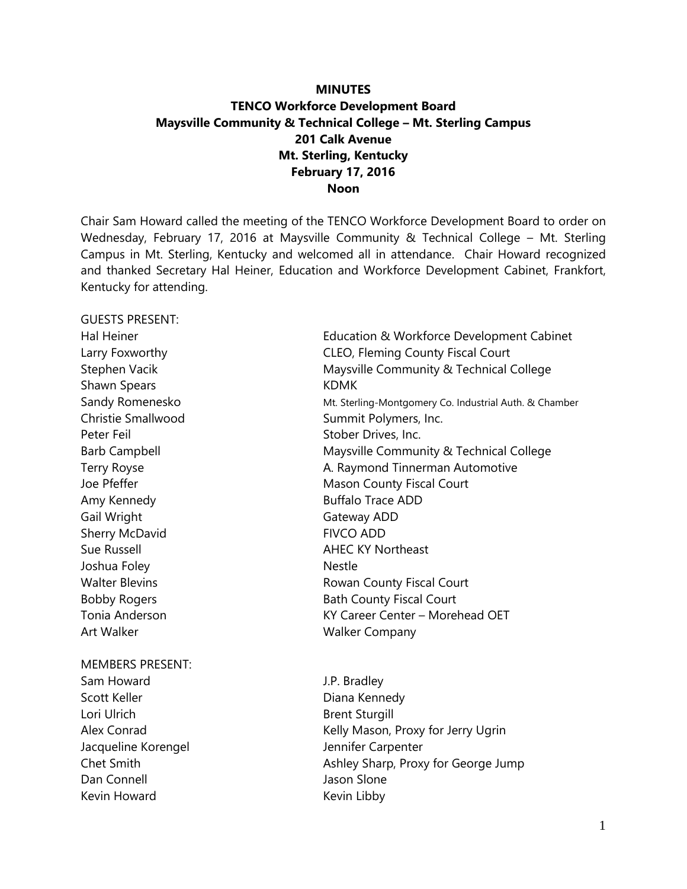# **MINUTES TENCO Workforce Development Board Maysville Community & Technical College – Mt. Sterling Campus 201 Calk Avenue Mt. Sterling, Kentucky February 17, 2016 Noon**

Chair Sam Howard called the meeting of the TENCO Workforce Development Board to order on Wednesday, February 17, 2016 at Maysville Community & Technical College – Mt. Sterling Campus in Mt. Sterling, Kentucky and welcomed all in attendance. Chair Howard recognized and thanked Secretary Hal Heiner, Education and Workforce Development Cabinet, Frankfort, Kentucky for attending.

GUESTS PRESENT: Shawn Spears **KDMK** Christie Smallwood Summit Polymers, Inc. Peter Feil Stober Drives, Inc. Amy Kennedy **Buffalo Trace ADD** Gail Wright Gail Wright Gateway ADD Sherry McDavid FIVCO ADD Sue Russell **AHEC KY Northeast** Joshua Foley Nestle Art Walker National Art Walker Company MEMBERS PRESENT: Sam Howard **J.P. Bradley** 

Scott Keller **Diana Kennedy** Lori Ulrich **Brent Sturgill** Jacqueline Korengel **Jennifer Carpenter** Dan Connell Jason Slone Kevin Howard **Kevin Libby** 

Hal Heiner Education & Workforce Development Cabinet Larry Foxworthy **CLEO, Fleming County Fiscal Court** Stephen Vacik Maysville Community & Technical College Sandy Romenesko Mt. Sterling-Montgomery Co. Industrial Auth. & Chamber Barb Campbell **Maysville Community & Technical College** Terry Royse **A. Raymond Tinnerman Automotive** A. Raymond Tinnerman Automotive Joe Pfeffer Mason County Fiscal Court Walter Blevins **Exercise 2018** Rowan County Fiscal Court Bobby Rogers **Bath County Fiscal Court** Tonia Anderson KY Career Center – Morehead OET

Alex Conrad **Kelly Mason, Proxy for Jerry Ugrin** Chet Smith **Ashley Sharp, Proxy for George Jump**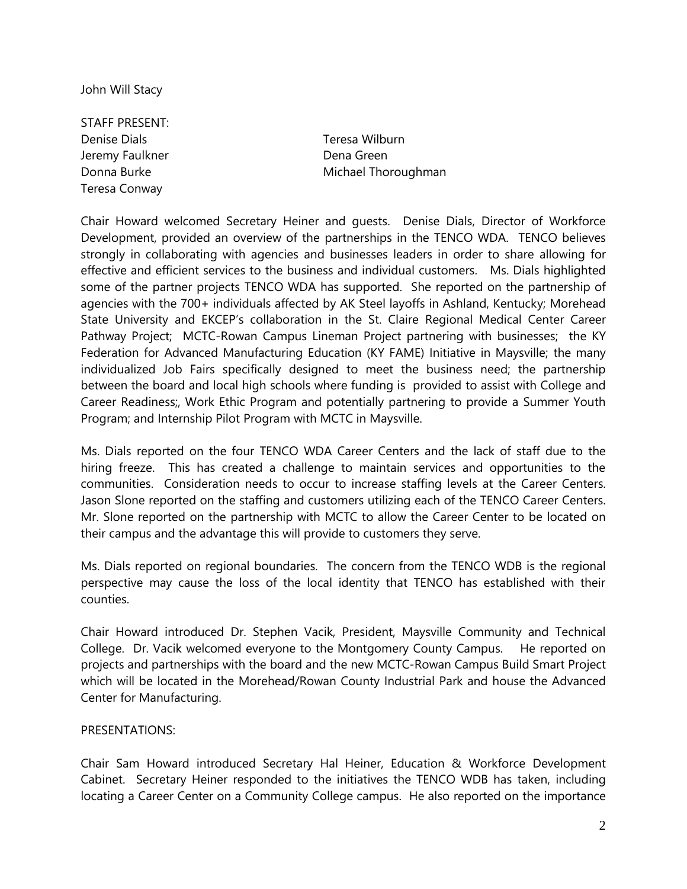John Will Stacy

STAFF PRESENT: Denise Dials Teresa Wilburn Jeremy Faulkner **Dena Green** Teresa Conway

Donna Burke Michael Thoroughman

Chair Howard welcomed Secretary Heiner and guests. Denise Dials, Director of Workforce Development, provided an overview of the partnerships in the TENCO WDA. TENCO believes strongly in collaborating with agencies and businesses leaders in order to share allowing for effective and efficient services to the business and individual customers. Ms. Dials highlighted some of the partner projects TENCO WDA has supported. She reported on the partnership of agencies with the 700+ individuals affected by AK Steel layoffs in Ashland, Kentucky; Morehead State University and EKCEP's collaboration in the St. Claire Regional Medical Center Career Pathway Project; MCTC-Rowan Campus Lineman Project partnering with businesses; the KY Federation for Advanced Manufacturing Education (KY FAME) Initiative in Maysville; the many individualized Job Fairs specifically designed to meet the business need; the partnership between the board and local high schools where funding is provided to assist with College and Career Readiness;, Work Ethic Program and potentially partnering to provide a Summer Youth Program; and Internship Pilot Program with MCTC in Maysville.

Ms. Dials reported on the four TENCO WDA Career Centers and the lack of staff due to the hiring freeze. This has created a challenge to maintain services and opportunities to the communities. Consideration needs to occur to increase staffing levels at the Career Centers. Jason Slone reported on the staffing and customers utilizing each of the TENCO Career Centers. Mr. Slone reported on the partnership with MCTC to allow the Career Center to be located on their campus and the advantage this will provide to customers they serve.

Ms. Dials reported on regional boundaries. The concern from the TENCO WDB is the regional perspective may cause the loss of the local identity that TENCO has established with their counties.

Chair Howard introduced Dr. Stephen Vacik, President, Maysville Community and Technical College. Dr. Vacik welcomed everyone to the Montgomery County Campus. He reported on projects and partnerships with the board and the new MCTC-Rowan Campus Build Smart Project which will be located in the Morehead/Rowan County Industrial Park and house the Advanced Center for Manufacturing.

#### PRESENTATIONS:

Chair Sam Howard introduced Secretary Hal Heiner, Education & Workforce Development Cabinet. Secretary Heiner responded to the initiatives the TENCO WDB has taken, including locating a Career Center on a Community College campus. He also reported on the importance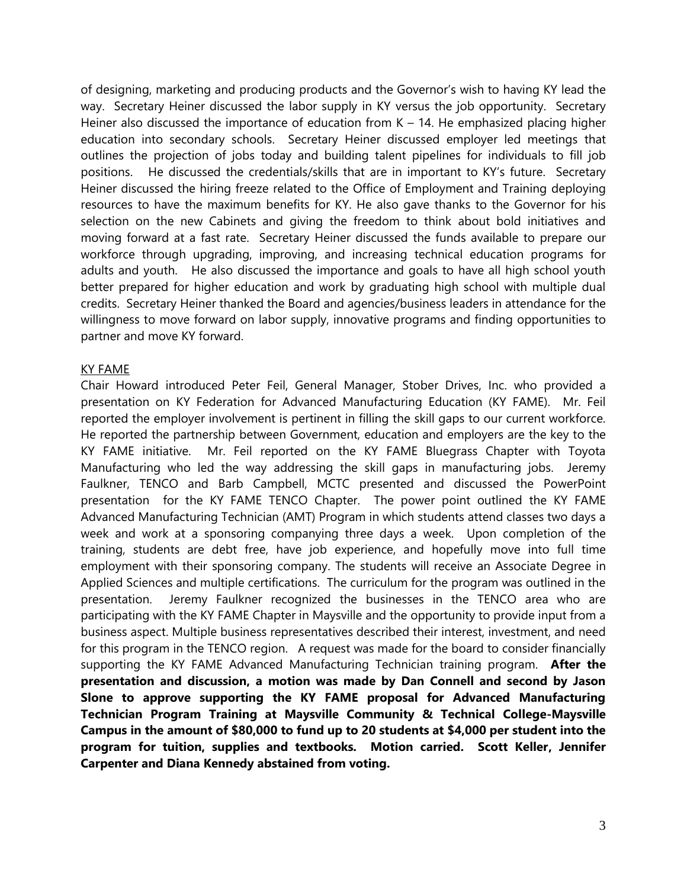of designing, marketing and producing products and the Governor's wish to having KY lead the way. Secretary Heiner discussed the labor supply in KY versus the job opportunity. Secretary Heiner also discussed the importance of education from  $K - 14$ . He emphasized placing higher education into secondary schools. Secretary Heiner discussed employer led meetings that outlines the projection of jobs today and building talent pipelines for individuals to fill job positions. He discussed the credentials/skills that are in important to KY's future. Secretary Heiner discussed the hiring freeze related to the Office of Employment and Training deploying resources to have the maximum benefits for KY. He also gave thanks to the Governor for his selection on the new Cabinets and giving the freedom to think about bold initiatives and moving forward at a fast rate. Secretary Heiner discussed the funds available to prepare our workforce through upgrading, improving, and increasing technical education programs for adults and youth. He also discussed the importance and goals to have all high school youth better prepared for higher education and work by graduating high school with multiple dual credits. Secretary Heiner thanked the Board and agencies/business leaders in attendance for the willingness to move forward on labor supply, innovative programs and finding opportunities to partner and move KY forward.

#### KY FAME

Chair Howard introduced Peter Feil, General Manager, Stober Drives, Inc. who provided a presentation on KY Federation for Advanced Manufacturing Education (KY FAME). Mr. Feil reported the employer involvement is pertinent in filling the skill gaps to our current workforce. He reported the partnership between Government, education and employers are the key to the KY FAME initiative. Mr. Feil reported on the KY FAME Bluegrass Chapter with Toyota Manufacturing who led the way addressing the skill gaps in manufacturing jobs. Jeremy Faulkner, TENCO and Barb Campbell, MCTC presented and discussed the PowerPoint presentation for the KY FAME TENCO Chapter. The power point outlined the KY FAME Advanced Manufacturing Technician (AMT) Program in which students attend classes two days a week and work at a sponsoring companying three days a week. Upon completion of the training, students are debt free, have job experience, and hopefully move into full time employment with their sponsoring company. The students will receive an Associate Degree in Applied Sciences and multiple certifications. The curriculum for the program was outlined in the presentation. Jeremy Faulkner recognized the businesses in the TENCO area who are participating with the KY FAME Chapter in Maysville and the opportunity to provide input from a business aspect. Multiple business representatives described their interest, investment, and need for this program in the TENCO region. A request was made for the board to consider financially supporting the KY FAME Advanced Manufacturing Technician training program. **After the presentation and discussion, a motion was made by Dan Connell and second by Jason Slone to approve supporting the KY FAME proposal for Advanced Manufacturing Technician Program Training at Maysville Community & Technical College-Maysville Campus in the amount of \$80,000 to fund up to 20 students at \$4,000 per student into the program for tuition, supplies and textbooks. Motion carried. Scott Keller, Jennifer Carpenter and Diana Kennedy abstained from voting.**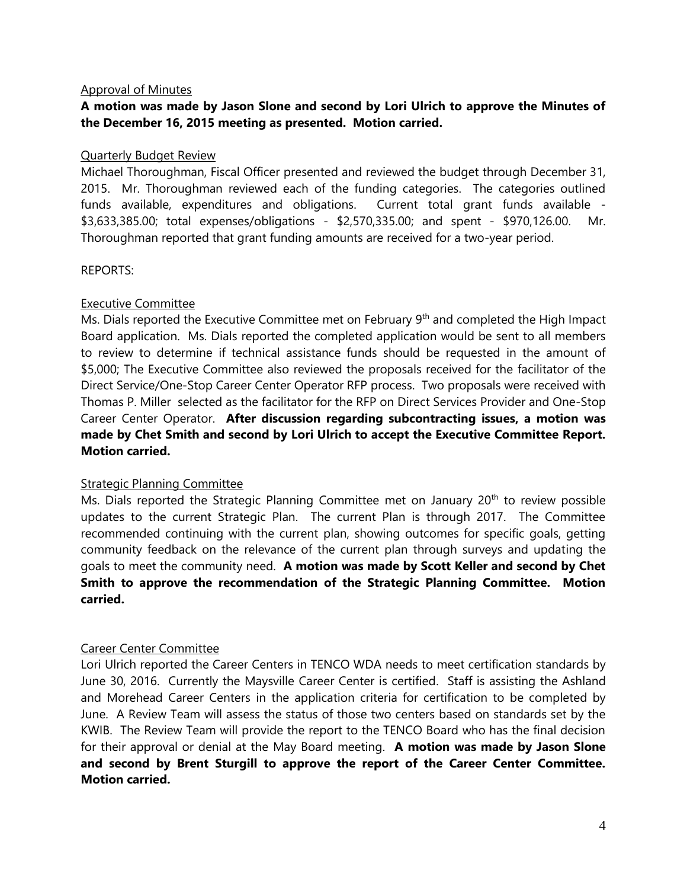#### Approval of Minutes

## **A motion was made by Jason Slone and second by Lori Ulrich to approve the Minutes of the December 16, 2015 meeting as presented. Motion carried.**

#### Quarterly Budget Review

Michael Thoroughman, Fiscal Officer presented and reviewed the budget through December 31, 2015. Mr. Thoroughman reviewed each of the funding categories. The categories outlined funds available, expenditures and obligations. Current total grant funds available - \$3,633,385.00; total expenses/obligations - \$2,570,335.00; and spent - \$970,126.00. Mr. Thoroughman reported that grant funding amounts are received for a two-year period.

#### REPORTS:

#### Executive Committee

Ms. Dials reported the Executive Committee met on February 9<sup>th</sup> and completed the High Impact Board application. Ms. Dials reported the completed application would be sent to all members to review to determine if technical assistance funds should be requested in the amount of \$5,000; The Executive Committee also reviewed the proposals received for the facilitator of the Direct Service/One-Stop Career Center Operator RFP process. Two proposals were received with Thomas P. Miller selected as the facilitator for the RFP on Direct Services Provider and One-Stop Career Center Operator. **After discussion regarding subcontracting issues, a motion was made by Chet Smith and second by Lori Ulrich to accept the Executive Committee Report. Motion carried.**

#### Strategic Planning Committee

Ms. Dials reported the Strategic Planning Committee met on January 20<sup>th</sup> to review possible updates to the current Strategic Plan. The current Plan is through 2017. The Committee recommended continuing with the current plan, showing outcomes for specific goals, getting community feedback on the relevance of the current plan through surveys and updating the goals to meet the community need. **A motion was made by Scott Keller and second by Chet Smith to approve the recommendation of the Strategic Planning Committee. Motion carried.**

#### Career Center Committee

Lori Ulrich reported the Career Centers in TENCO WDA needs to meet certification standards by June 30, 2016. Currently the Maysville Career Center is certified. Staff is assisting the Ashland and Morehead Career Centers in the application criteria for certification to be completed by June. A Review Team will assess the status of those two centers based on standards set by the KWIB. The Review Team will provide the report to the TENCO Board who has the final decision for their approval or denial at the May Board meeting. **A motion was made by Jason Slone and second by Brent Sturgill to approve the report of the Career Center Committee. Motion carried.**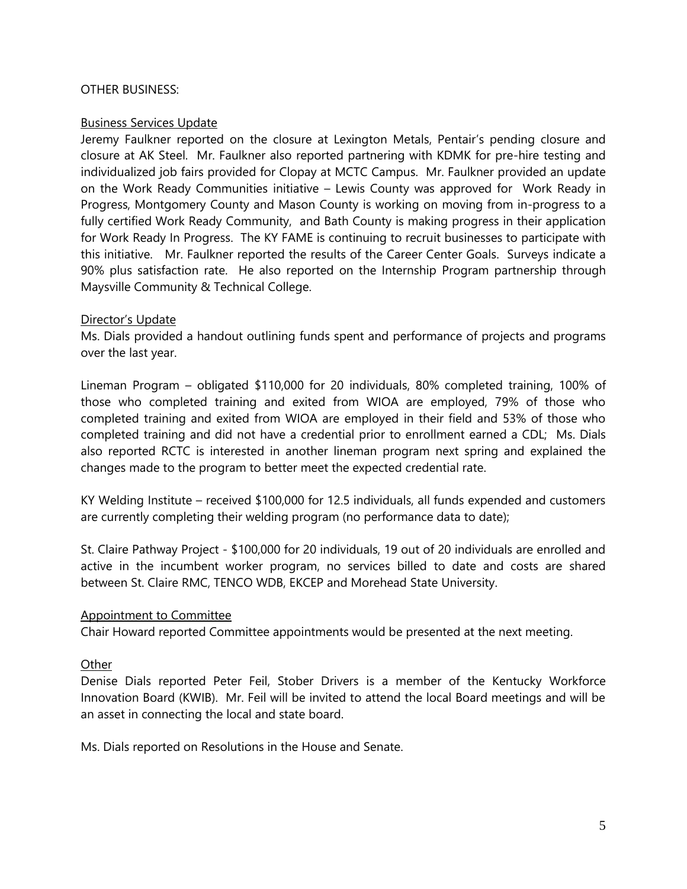#### OTHER BUSINESS:

### Business Services Update

Jeremy Faulkner reported on the closure at Lexington Metals, Pentair's pending closure and closure at AK Steel. Mr. Faulkner also reported partnering with KDMK for pre-hire testing and individualized job fairs provided for Clopay at MCTC Campus. Mr. Faulkner provided an update on the Work Ready Communities initiative – Lewis County was approved for Work Ready in Progress, Montgomery County and Mason County is working on moving from in-progress to a fully certified Work Ready Community, and Bath County is making progress in their application for Work Ready In Progress. The KY FAME is continuing to recruit businesses to participate with this initiative. Mr. Faulkner reported the results of the Career Center Goals. Surveys indicate a 90% plus satisfaction rate. He also reported on the Internship Program partnership through Maysville Community & Technical College.

#### Director's Update

Ms. Dials provided a handout outlining funds spent and performance of projects and programs over the last year.

Lineman Program – obligated \$110,000 for 20 individuals, 80% completed training, 100% of those who completed training and exited from WIOA are employed, 79% of those who completed training and exited from WIOA are employed in their field and 53% of those who completed training and did not have a credential prior to enrollment earned a CDL; Ms. Dials also reported RCTC is interested in another lineman program next spring and explained the changes made to the program to better meet the expected credential rate.

KY Welding Institute – received \$100,000 for 12.5 individuals, all funds expended and customers are currently completing their welding program (no performance data to date);

St. Claire Pathway Project - \$100,000 for 20 individuals, 19 out of 20 individuals are enrolled and active in the incumbent worker program, no services billed to date and costs are shared between St. Claire RMC, TENCO WDB, EKCEP and Morehead State University.

#### Appointment to Committee

Chair Howard reported Committee appointments would be presented at the next meeting.

## **Other**

Denise Dials reported Peter Feil, Stober Drivers is a member of the Kentucky Workforce Innovation Board (KWIB). Mr. Feil will be invited to attend the local Board meetings and will be an asset in connecting the local and state board.

Ms. Dials reported on Resolutions in the House and Senate.